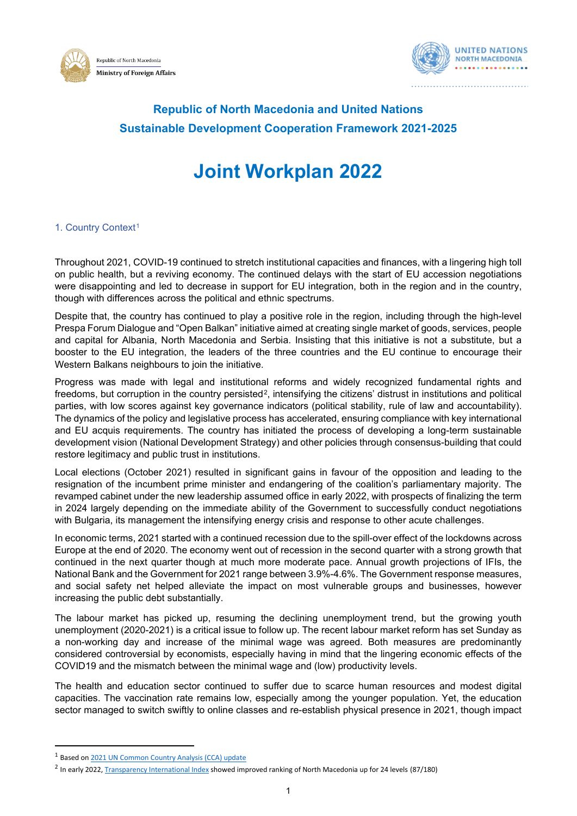



# **Republic of North Macedonia and United Nations Sustainable Development Cooperation Framework 2021-2025**

# **Joint Workplan 2022**

# [1](#page-0-0). Country Context<sup>1</sup>

Throughout 2021, COVID-19 continued to stretch institutional capacities and finances, with a lingering high toll on public health, but a reviving economy. The continued delays with the start of EU accession negotiations were disappointing and led to decrease in support for EU integration, both in the region and in the country, though with differences across the political and ethnic spectrums.

Despite that, the country has continued to play a positive role in the region, including through the high-level Prespa Forum Dialogue and "Open Balkan" initiative aimed at creating single market of goods, services, people and capital for Albania, North Macedonia and Serbia. Insisting that this initiative is not a substitute, but a booster to the EU integration, the leaders of the three countries and the EU continue to encourage their Western Balkans neighbours to join the initiative.

Progress was made with legal and institutional reforms and widely recognized fundamental rights and freedoms, but corruption in the country persisted<sup>[2](#page-0-1)</sup>, intensifying the citizens' distrust in institutions and political parties, with low scores against key governance indicators (political stability, rule of law and accountability). The dynamics of the policy and legislative process has accelerated, ensuring compliance with key international and EU acquis requirements. The country has initiated the process of developing a long-term sustainable development vision (National Development Strategy) and other policies through consensus-building that could restore legitimacy and public trust in institutions.

Local elections (October 2021) resulted in significant gains in favour of the opposition and leading to the resignation of the incumbent prime minister and endangering of the coalition's parliamentary majority. The revamped cabinet under the new leadership assumed office in early 2022, with prospects of finalizing the term in 2024 largely depending on the immediate ability of the Government to successfully conduct negotiations with Bulgaria, its management the intensifying energy crisis and response to other acute challenges.

In economic terms, 2021 started with a continued recession due to the spill-over effect of the lockdowns across Europe at the end of 2020. The economy went out of recession in the second quarter with a strong growth that continued in the next quarter though at much more moderate pace. Annual growth projections of IFIs, the National Bank and the Government for 2021 range between 3.9%-4.6%. The Government response measures, and social safety net helped alleviate the impact on most vulnerable groups and businesses, however increasing the public debt substantially.

The labour market has picked up, resuming the declining unemployment trend, but the growing youth unemployment (2020-2021) is a critical issue to follow up. The recent labour market reform has set Sunday as a non-working day and increase of the minimal wage was agreed. Both measures are predominantly considered controversial by economists, especially having in mind that the lingering economic effects of the COVID19 and the mismatch between the minimal wage and (low) productivity levels.

The health and education sector continued to suffer due to scarce human resources and modest digital capacities. The vaccination rate remains low, especially among the younger population. Yet, the education sector managed to switch swiftly to online classes and re-establish physical presence in 2021, though impact

<span id="page-0-1"></span><span id="page-0-0"></span><sup>&</sup>lt;sup>1</sup> Based on [2021 UN Common Country Analysis \(CCA\) update](https://northmacedonia.un.org/en/157996-common-country-analysis-update-2021) <sup>2</sup> In early 2022[, Transparency International Index](https://www.transparency.org/en/cpi/2021/index/mkd) showed improved ranking of North Macedonia up for 24 levels (87/180)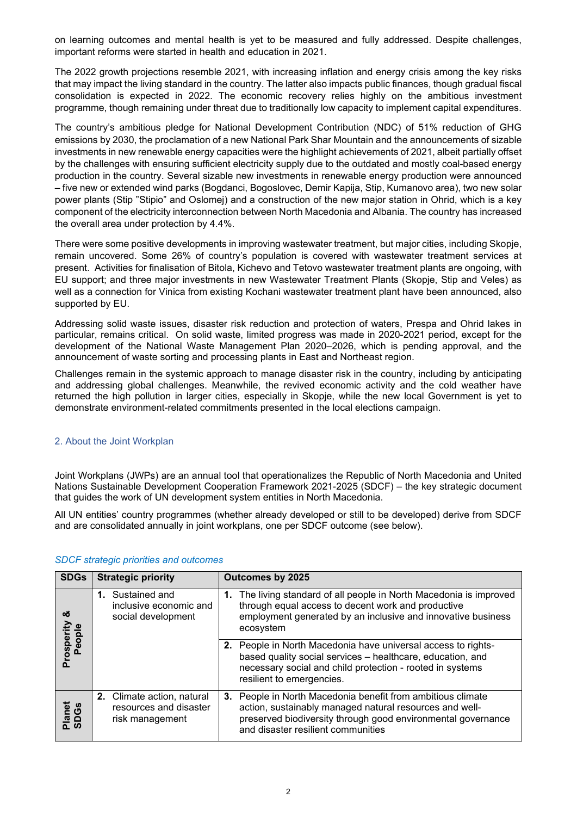on learning outcomes and mental health is yet to be measured and fully addressed. Despite challenges, important reforms were started in health and education in 2021.

The 2022 growth projections resemble 2021, with increasing inflation and energy crisis among the key risks that may impact the living standard in the country. The latter also impacts public finances, though gradual fiscal consolidation is expected in 2022. The economic recovery relies highly on the ambitious investment programme, though remaining under threat due to traditionally low capacity to implement capital expenditures.

The country's ambitious pledge for National Development Contribution (NDC) of 51% reduction of GHG emissions by 2030, the proclamation of a new National Park Shar Mountain and the announcements of sizable investments in new renewable energy capacities were the highlight achievements of 2021, albeit partially offset by the challenges with ensuring sufficient electricity supply due to the outdated and mostly coal-based energy production in the country. Several sizable new investments in renewable energy production were announced – five new or extended wind parks (Bogdanci, Bogoslovec, Demir Kapija, Stip, Kumanovo area), two new solar power plants (Stip "Stipio" and Oslomej) and a construction of the new major station in Ohrid, which is a key component of the electricity interconnection between North Macedonia and Albania. The country has increased the overall area under protection by 4.4%.

There were some positive developments in improving wastewater treatment, but major cities, including Skopje, remain uncovered. Some 26% of country's population is covered with wastewater treatment services at present. Activities for finalisation of Bitola, Kichevo and Tetovo wastewater treatment plants are ongoing, with EU support; and three major investments in new Wastewater Treatment Plants (Skopje, Stip and Veles) as well as a connection for Vinica from existing Kochani wastewater treatment plant have been announced, also supported by EU.

Addressing solid waste issues, disaster risk reduction and protection of waters, Prespa and Ohrid lakes in particular, remains critical. On solid waste, limited progress was made in 2020-2021 period, except for the development of the National Waste Management Plan 2020–2026, which is pending approval, and the announcement of waste sorting and processing plants in East and Northeast region.

Challenges remain in the systemic approach to manage disaster risk in the country, including by anticipating and addressing global challenges. Meanwhile, the revived economic activity and the cold weather have returned the high pollution in larger cities, especially in Skopje, while the new local Government is yet to demonstrate environment-related commitments presented in the local elections campaign.

# 2. About the Joint Workplan

Joint Workplans (JWPs) are an annual tool that operationalizes the Republic of North Macedonia and United Nations Sustainable Development Cooperation Framework 2021-2025 (SDCF) – the key strategic document that guides the work of UN development system entities in North Macedonia.

All UN entities' country programmes (whether already developed or still to be developed) derive from SDCF and are consolidated annually in joint workplans, one per SDCF outcome (see below).

| SDGs                 | <b>Strategic priority</b>                                                      | <b>Outcomes by 2025</b>                                                                                                                                                                                                      |  |
|----------------------|--------------------------------------------------------------------------------|------------------------------------------------------------------------------------------------------------------------------------------------------------------------------------------------------------------------------|--|
| య                    | 1. Sustained and<br>inclusive economic and<br>social development               | 1. The living standard of all people in North Macedonia is improved<br>through equal access to decent work and productive<br>employment generated by an inclusive and innovative business<br>ecosystem                       |  |
| Prosperity<br>People |                                                                                | 2. People in North Macedonia have universal access to rights-<br>based quality social services - healthcare, education, and<br>necessary social and child protection - rooted in systems<br>resilient to emergencies.        |  |
| Planet<br>SDGs       | <b>2.</b> Climate action, natural<br>resources and disaster<br>risk management | 3. People in North Macedonia benefit from ambitious climate<br>action, sustainably managed natural resources and well-<br>preserved biodiversity through good environmental governance<br>and disaster resilient communities |  |

# *SDCF strategic priorities and outcomes*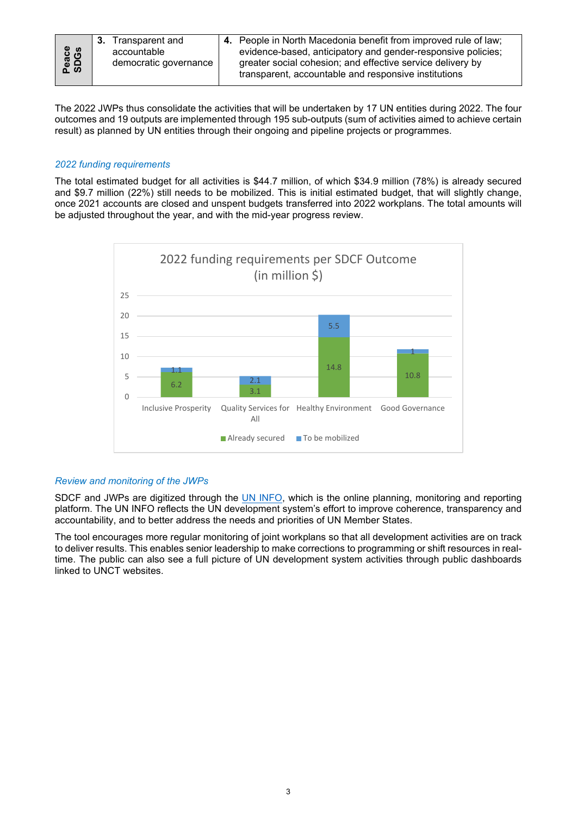The 2022 JWPs thus consolidate the activities that will be undertaken by 17 UN entities during 2022. The four outcomes and 19 outputs are implemented through 195 sub-outputs (sum of activities aimed to achieve certain result) as planned by UN entities through their ongoing and pipeline projects or programmes.

#### *2022 funding requirements*

The total estimated budget for all activities is \$44.7 million, of which \$34.9 million (78%) is already secured and \$9.7 million (22%) still needs to be mobilized. This is initial estimated budget, that will slightly change, once 2021 accounts are closed and unspent budgets transferred into 2022 workplans. The total amounts will be adjusted throughout the year, and with the mid-year progress review.



# *Review and monitoring of the JWPs*

SDCF and JWPs are digitized through the [UN INFO,](https://uninfo.org/) which is the online planning, monitoring and reporting platform. The UN INFO reflects the UN development system's effort to improve coherence, transparency and accountability, and to better address the needs and priorities of UN Member States.

The tool encourages more regular monitoring of joint workplans so that all development activities are on track to deliver results. This enables senior leadership to make corrections to programming or shift resources in realtime. The public can also see a full picture of UN development system activities through public dashboards linked to UNCT websites.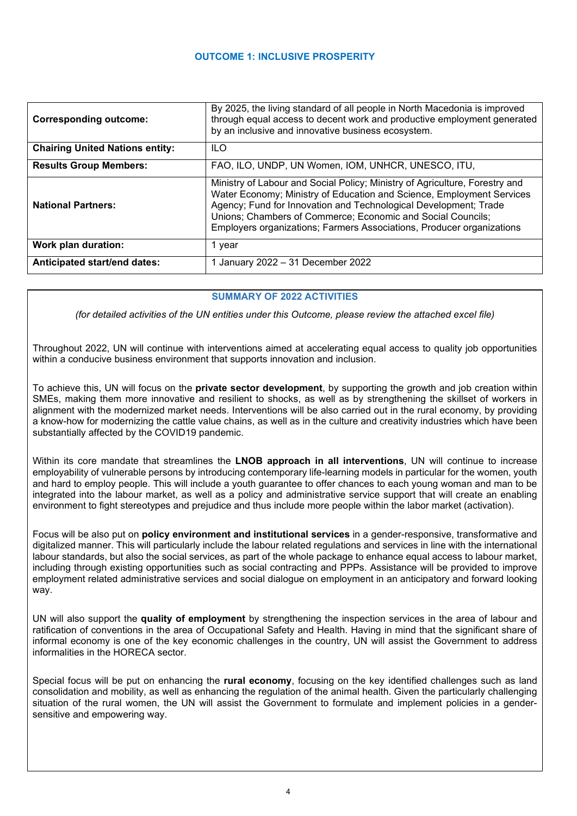# **OUTCOME 1: INCLUSIVE PROSPERITY**

| <b>Corresponding outcome:</b>          | By 2025, the living standard of all people in North Macedonia is improved<br>through equal access to decent work and productive employment generated<br>by an inclusive and innovative business ecosystem.                                                                                                                                                       |  |
|----------------------------------------|------------------------------------------------------------------------------------------------------------------------------------------------------------------------------------------------------------------------------------------------------------------------------------------------------------------------------------------------------------------|--|
| <b>Chairing United Nations entity:</b> | ILO.                                                                                                                                                                                                                                                                                                                                                             |  |
| <b>Results Group Members:</b>          | FAO, ILO, UNDP, UN Women, IOM, UNHCR, UNESCO, ITU,                                                                                                                                                                                                                                                                                                               |  |
| <b>National Partners:</b>              | Ministry of Labour and Social Policy; Ministry of Agriculture, Forestry and<br>Water Economy; Ministry of Education and Science, Employment Services<br>Agency; Fund for Innovation and Technological Development; Trade<br>Unions; Chambers of Commerce; Economic and Social Councils;<br>Employers organizations; Farmers Associations, Producer organizations |  |
| Work plan duration:                    | 1 year                                                                                                                                                                                                                                                                                                                                                           |  |
| Anticipated start/end dates:           | 1 January 2022 - 31 December 2022                                                                                                                                                                                                                                                                                                                                |  |

# **SUMMARY OF 2022 ACTIVITIES**

*(for detailed activities of the UN entities under this Outcome, please review the attached excel file)*

Throughout 2022, UN will continue with interventions aimed at accelerating equal access to quality job opportunities within a conducive business environment that supports innovation and inclusion.

To achieve this, UN will focus on the **private sector development**, by supporting the growth and job creation within SMEs, making them more innovative and resilient to shocks, as well as by strengthening the skillset of workers in alignment with the modernized market needs. Interventions will be also carried out in the rural economy, by providing a know-how for modernizing the cattle value chains, as well as in the culture and creativity industries which have been substantially affected by the COVID19 pandemic.

Within its core mandate that streamlines the **LNOB approach in all interventions**, UN will continue to increase employability of vulnerable persons by introducing contemporary life-learning models in particular for the women, youth and hard to employ people. This will include a youth guarantee to offer chances to each young woman and man to be integrated into the labour market, as well as a policy and administrative service support that will create an enabling environment to fight stereotypes and prejudice and thus include more people within the labor market (activation).

Focus will be also put on **policy environment and institutional services** in a gender-responsive, transformative and digitalized manner. This will particularly include the labour related regulations and services in line with the international labour standards, but also the social services, as part of the whole package to enhance equal access to labour market, including through existing opportunities such as social contracting and PPPs. Assistance will be provided to improve employment related administrative services and social dialogue on employment in an anticipatory and forward looking way.

UN will also support the **quality of employment** by strengthening the inspection services in the area of labour and ratification of conventions in the area of Occupational Safety and Health. Having in mind that the significant share of informal economy is one of the key economic challenges in the country, UN will assist the Government to address informalities in the HORECA sector.

Special focus will be put on enhancing the **rural economy**, focusing on the key identified challenges such as land consolidation and mobility, as well as enhancing the regulation of the animal health. Given the particularly challenging situation of the rural women, the UN will assist the Government to formulate and implement policies in a gendersensitive and empowering way.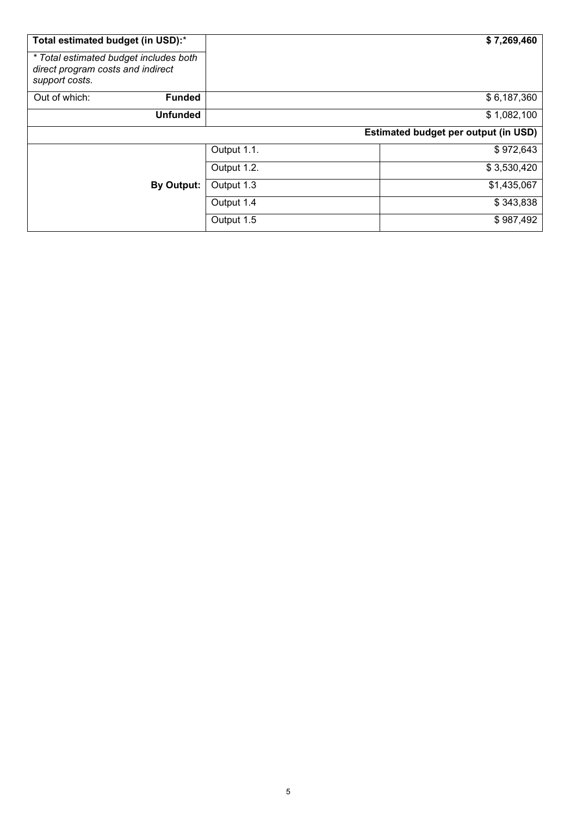| Total estimated budget (in USD):*                                                             |             | \$7,269,460                                 |
|-----------------------------------------------------------------------------------------------|-------------|---------------------------------------------|
| * Total estimated budget includes both<br>direct program costs and indirect<br>support costs. |             |                                             |
| Out of which:<br><b>Funded</b>                                                                |             | \$6,187,360                                 |
| <b>Unfunded</b>                                                                               |             | \$1,082,100                                 |
|                                                                                               |             | <b>Estimated budget per output (in USD)</b> |
|                                                                                               | Output 1.1. | \$972,643                                   |
|                                                                                               | Output 1.2. | \$3,530,420                                 |
| By Output:                                                                                    | Output 1.3  | \$1,435,067                                 |
|                                                                                               | Output 1.4  | \$343,838                                   |
|                                                                                               | Output 1.5  | \$987,492                                   |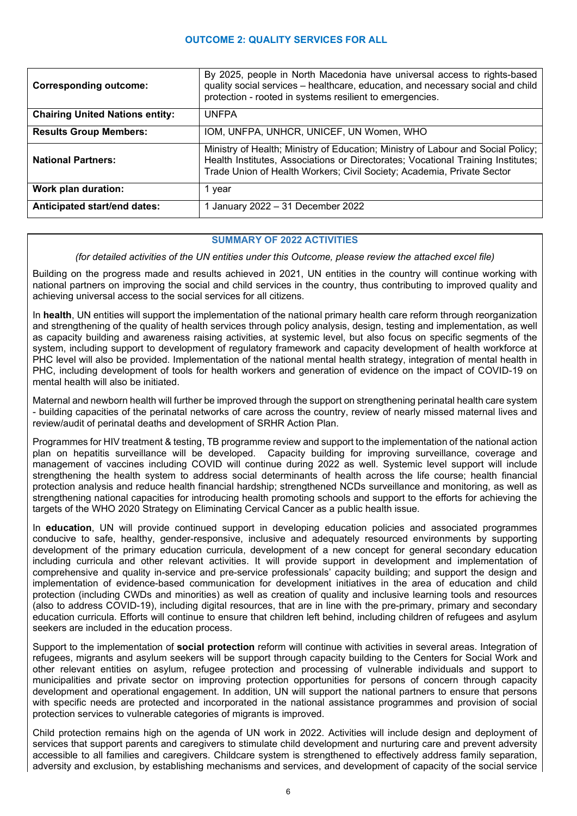# **OUTCOME 2: QUALITY SERVICES FOR ALL**

| <b>Corresponding outcome:</b>          | By 2025, people in North Macedonia have universal access to rights-based<br>quality social services - healthcare, education, and necessary social and child<br>protection - rooted in systems resilient to emergencies.                        |  |
|----------------------------------------|------------------------------------------------------------------------------------------------------------------------------------------------------------------------------------------------------------------------------------------------|--|
| <b>Chairing United Nations entity:</b> | <b>UNFPA</b>                                                                                                                                                                                                                                   |  |
| <b>Results Group Members:</b>          | IOM, UNFPA, UNHCR, UNICEF, UN Women, WHO                                                                                                                                                                                                       |  |
| <b>National Partners:</b>              | Ministry of Health; Ministry of Education; Ministry of Labour and Social Policy;<br>Health Institutes, Associations or Directorates; Vocational Training Institutes;<br>Trade Union of Health Workers; Civil Society; Academia, Private Sector |  |
| Work plan duration:                    | 1 year                                                                                                                                                                                                                                         |  |
| Anticipated start/end dates:           | 1 January 2022 - 31 December 2022                                                                                                                                                                                                              |  |

#### **SUMMARY OF 2022 ACTIVITIES**

*(for detailed activities of the UN entities under this Outcome, please review the attached excel file)*

Building on the progress made and results achieved in 2021, UN entities in the country will continue working with national partners on improving the social and child services in the country, thus contributing to improved quality and achieving universal access to the social services for all citizens.

In **health**, UN entities will support the implementation of the national primary health care reform through reorganization and strengthening of the quality of health services through policy analysis, design, testing and implementation, as well as capacity building and awareness raising activities, at systemic level, but also focus on specific segments of the system, including support to development of regulatory framework and capacity development of health workforce at PHC level will also be provided. Implementation of the national mental health strategy, integration of mental health in PHC, including development of tools for health workers and generation of evidence on the impact of COVID-19 on mental health will also be initiated.

Maternal and newborn health will further be improved through the support on strengthening perinatal health care system - building capacities of the perinatal networks of care across the country, review of nearly missed maternal lives and review/audit of perinatal deaths and development of SRHR Action Plan.

Programmes for HIV treatment & testing, TB programme review and support to the implementation of the national action plan on hepatitis surveillance will be developed. Capacity building for improving surveillance, coverage and management of vaccines including COVID will continue during 2022 as well. Systemic level support will include strengthening the health system to address social determinants of health across the life course; health financial protection analysis and reduce health financial hardship; strengthened NCDs surveillance and monitoring, as well as strengthening national capacities for introducing health promoting schools and support to the efforts for achieving the targets of the WHO 2020 Strategy on Eliminating Cervical Cancer as a public health issue.

In **education**, UN will provide continued support in developing education policies and associated programmes conducive to safe, healthy, gender-responsive, inclusive and adequately resourced environments by supporting development of the primary education curricula, development of a new concept for general secondary education including curricula and other relevant activities. It will provide support in development and implementation of comprehensive and quality in-service and pre-service professionals' capacity building; and support the design and implementation of evidence-based communication for development initiatives in the area of education and child protection (including CWDs and minorities) as well as creation of quality and inclusive learning tools and resources (also to address COVID-19), including digital resources, that are in line with the pre-primary, primary and secondary education curricula. Efforts will continue to ensure that children left behind, including children of refugees and asylum seekers are included in the education process.

Support to the implementation of **social protection** reform will continue with activities in several areas. Integration of refugees, migrants and asylum seekers will be support through capacity building to the Centers for Social Work and other relevant entities on asylum, refugee protection and processing of vulnerable individuals and support to municipalities and private sector on improving protection opportunities for persons of concern through capacity development and operational engagement. In addition, UN will support the national partners to ensure that persons with specific needs are protected and incorporated in the national assistance programmes and provision of social protection services to vulnerable categories of migrants is improved.

Child protection remains high on the agenda of UN work in 2022. Activities will include design and deployment of services that support parents and caregivers to stimulate child development and nurturing care and prevent adversity accessible to all families and caregivers. Childcare system is strengthened to effectively address family separation, adversity and exclusion, by establishing mechanisms and services, and development of capacity of the social service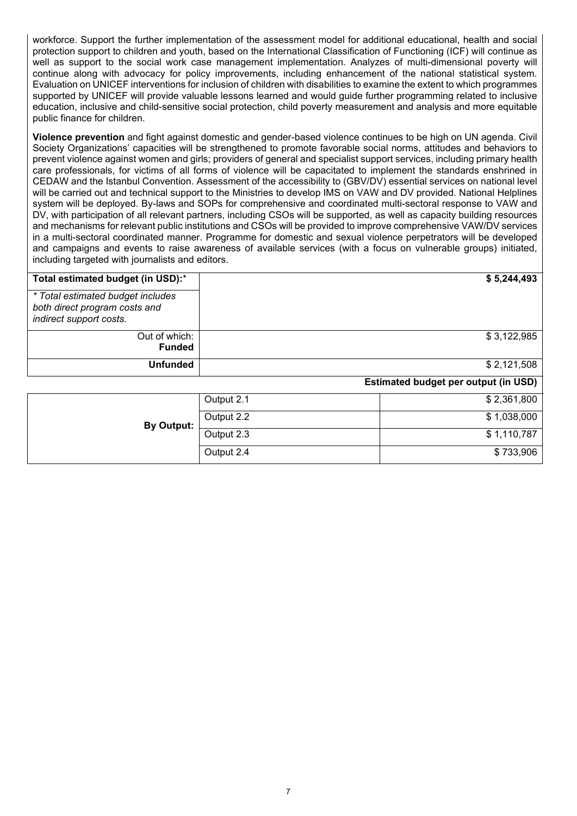workforce. Support the further implementation of the assessment model for additional educational, health and social protection support to children and youth, based on the International Classification of Functioning (ICF) will continue as well as support to the social work case management implementation. Analyzes of multi-dimensional poverty will continue along with advocacy for policy improvements, including enhancement of the national statistical system. Evaluation on UNICEF interventions for inclusion of children with disabilities to examine the extent to which programmes supported by UNICEF will provide valuable lessons learned and would guide further programming related to inclusive education, inclusive and child-sensitive social protection, child poverty measurement and analysis and more equitable public finance for children.

**Violence prevention** and fight against domestic and gender-based violence continues to be high on UN agenda. Civil Society Organizations' capacities will be strengthened to promote favorable social norms, attitudes and behaviors to prevent violence against women and girls; providers of general and specialist support services, including primary health care professionals, for victims of all forms of violence will be capacitated to implement the standards enshrined in CEDAW and the Istanbul Convention. Assessment of the accessibility to (GBV/DV) essential services on national level will be carried out and technical support to the Ministries to develop IMS on VAW and DV provided. National Helplines system will be deployed. By-laws and SOPs for comprehensive and coordinated multi-sectoral response to VAW and DV, with participation of all relevant partners, including CSOs will be supported, as well as capacity building resources and mechanisms for relevant public institutions and CSOs will be provided to improve comprehensive VAW/DV services in a multi-sectoral coordinated manner. Programme for domestic and sexual violence perpetrators will be developed and campaigns and events to raise awareness of available services (with a focus on vulnerable groups) initiated, including targeted with journalists and editors.

| Total estimated budget (in USD):*                                                             |            | \$5,244,493                          |
|-----------------------------------------------------------------------------------------------|------------|--------------------------------------|
| * Total estimated budget includes<br>both direct program costs and<br>indirect support costs. |            |                                      |
| Out of which:<br><b>Funded</b>                                                                |            | \$3,122,985                          |
| <b>Unfunded</b>                                                                               |            | \$2,121,508                          |
|                                                                                               |            | Estimated budget per output (in USD) |
|                                                                                               | Output 2.1 | \$2,361,800                          |
| <b>By Output:</b>                                                                             | Output 2.2 | \$1,038,000                          |
|                                                                                               | Output 2.3 | \$1,110,787                          |
|                                                                                               | Output 2.4 | \$733,906                            |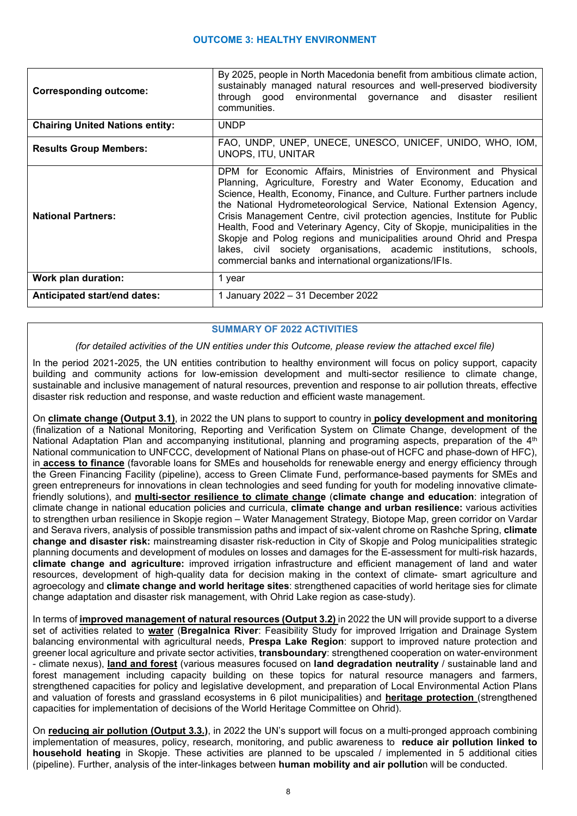| <b>Corresponding outcome:</b>          | By 2025, people in North Macedonia benefit from ambitious climate action,<br>sustainably managed natural resources and well-preserved biodiversity<br>through good environmental governance and disaster resilient<br>communities.                                                                                                                                                                                                                                                                                                                                                                                                                         |  |
|----------------------------------------|------------------------------------------------------------------------------------------------------------------------------------------------------------------------------------------------------------------------------------------------------------------------------------------------------------------------------------------------------------------------------------------------------------------------------------------------------------------------------------------------------------------------------------------------------------------------------------------------------------------------------------------------------------|--|
| <b>Chairing United Nations entity:</b> | <b>UNDP</b>                                                                                                                                                                                                                                                                                                                                                                                                                                                                                                                                                                                                                                                |  |
| <b>Results Group Members:</b>          | FAO, UNDP, UNEP, UNECE, UNESCO, UNICEF, UNIDO, WHO, IOM,<br>UNOPS, ITU, UNITAR                                                                                                                                                                                                                                                                                                                                                                                                                                                                                                                                                                             |  |
| <b>National Partners:</b>              | DPM for Economic Affairs, Ministries of Environment and Physical<br>Planning, Agriculture, Forestry and Water Economy, Education and<br>Science, Health, Economy, Finance, and Culture. Further partners include<br>the National Hydrometeorological Service, National Extension Agency,<br>Crisis Management Centre, civil protection agencies, Institute for Public<br>Health, Food and Veterinary Agency, City of Skopje, municipalities in the<br>Skopje and Polog regions and municipalities around Ohrid and Prespa<br>lakes, civil society organisations, academic institutions, schools,<br>commercial banks and international organizations/IFIs. |  |
| Work plan duration:                    | 1 year                                                                                                                                                                                                                                                                                                                                                                                                                                                                                                                                                                                                                                                     |  |
| Anticipated start/end dates:           | 1 January 2022 - 31 December 2022                                                                                                                                                                                                                                                                                                                                                                                                                                                                                                                                                                                                                          |  |

# **SUMMARY OF 2022 ACTIVITIES**

*(for detailed activities of the UN entities under this Outcome, please review the attached excel file)*

In the period 2021-2025, the UN entities contribution to healthy environment will focus on policy support, capacity building and community actions for low-emission development and multi-sector resilience to climate change, sustainable and inclusive management of natural resources, prevention and response to air pollution threats, effective disaster risk reduction and response, and waste reduction and efficient waste management.

On **climate change (Output 3.1)**, in 2022 the UN plans to support to country in **policy development and monitoring** (finalization of a National Monitoring, Reporting and Verification System on Climate Change, development of the National Adaptation Plan and accompanying institutional, planning and programing aspects, preparation of the 4<sup>th</sup> National communication to UNFCCC, development of National Plans on phase-out of HCFC and phase-down of HFC), in **access to finance** (favorable loans for SMEs and households for renewable energy and energy efficiency through the Green Financing Facility (pipeline), access to Green Climate Fund, performance-based payments for SMEs and green entrepreneurs for innovations in clean technologies and seed funding for youth for modeling innovative climatefriendly solutions), and **multi-sector resilience to climate change** (**climate change and education**: integration of climate change in national education policies and curricula, **climate change and urban resilience:** various activities to strengthen urban resilience in Skopje region – Water Management Strategy, Biotope Map, green corridor on Vardar and Serava rivers, analysis of possible transmission paths and impact of six-valent chrome on Rashche Spring, **climate change and disaster risk:** mainstreaming disaster risk-reduction in City of Skopje and Polog municipalities strategic planning documents and development of modules on losses and damages for the E-assessment for multi-risk hazards, **climate change and agriculture:** improved irrigation infrastructure and efficient management of land and water resources, development of high-quality data for decision making in the context of climate- smart agriculture and agroecology and **climate change and world heritage sites**: strengthened capacities of world heritage sies for climate change adaptation and disaster risk management, with Ohrid Lake region as case-study).

In terms of **improved management of natural resources (Output 3.2)** in 2022 the UN will provide support to a diverse set of activities related to **water** (**Bregalnica River**: Feasibility Study for improved Irrigation and Drainage System balancing environmental with agricultural needs, **Prespa Lake Region**: support to improved nature protection and greener local agriculture and private sector activities, **transboundary**: strengthened cooperation on water-environment - climate nexus), **land and forest** (various measures focused on **land degradation neutrality** / sustainable land and forest management including capacity building on these topics for natural resource managers and farmers, strengthened capacities for policy and legislative development, and preparation of Local Environmental Action Plans and valuation of forests and grassland ecosystems in 6 pilot municipalities) and **heritage protection** (strengthened capacities for implementation of decisions of the World Heritage Committee on Ohrid).

On **reducing air pollution (Output 3.3.)**, in 2022 the UN's support will focus on a multi-pronged approach combining implementation of measures, policy, research, monitoring, and public awareness to **reduce air pollution linked to household heating** in Skopje. These activities are planned to be upscaled / implemented in 5 additional cities (pipeline). Further, analysis of the inter-linkages between **human mobility and air pollutio**n will be conducted.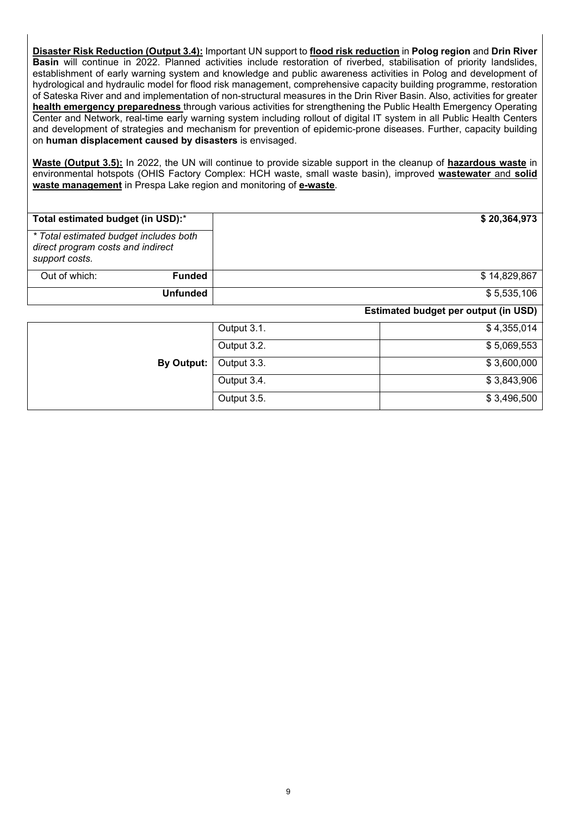**Disaster Risk Reduction (Output 3.4):** Important UN support to **flood risk reduction** in **Polog region** and **Drin River Basin** will continue in 2022. Planned activities include restoration of riverbed, stabilisation of priority landslides, establishment of early warning system and knowledge and public awareness activities in Polog and development of hydrological and hydraulic model for flood risk management, comprehensive capacity building programme, restoration of Sateska River and and implementation of non-structural measures in the Drin River Basin. Also, activities for greater **health emergency preparedness** through various activities for strengthening the Public Health Emergency Operating Center and Network, real-time early warning system including rollout of digital IT system in all Public Health Centers and development of strategies and mechanism for prevention of epidemic-prone diseases. Further, capacity building on **human displacement caused by disasters** is envisaged.

**Waste (Output 3.5):** In 2022, the UN will continue to provide sizable support in the cleanup of **hazardous waste** in environmental hotspots (OHIS Factory Complex: HCH waste, small waste basin), improved **wastewater** and **solid waste management** in Prespa Lake region and monitoring of **e-waste**.

| Total estimated budget (in USD):*                                                             |                   |             | \$20,364,973                                |
|-----------------------------------------------------------------------------------------------|-------------------|-------------|---------------------------------------------|
| * Total estimated budget includes both<br>direct program costs and indirect<br>support costs. |                   |             |                                             |
| Out of which:                                                                                 | <b>Funded</b>     |             | \$14,829,867                                |
|                                                                                               | <b>Unfunded</b>   |             | \$5,535,106                                 |
|                                                                                               |                   |             | <b>Estimated budget per output (in USD)</b> |
|                                                                                               |                   | Output 3.1. | \$4,355,014                                 |
|                                                                                               |                   | Output 3.2. | \$5,069,553                                 |
|                                                                                               | <b>By Output:</b> | Output 3.3. | \$3,600,000                                 |

Output 3.4.  $$3,843,906$ Output 3.5.  $$3,496,500$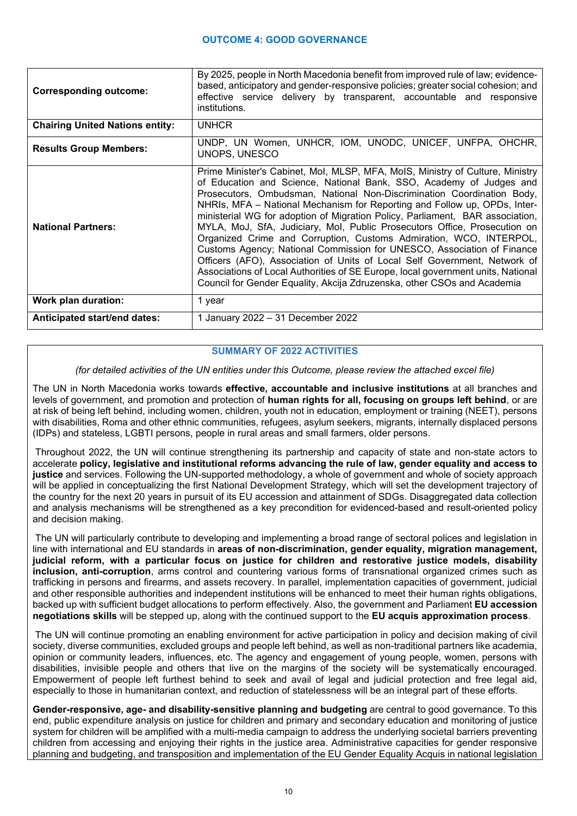| <b>Corresponding outcome:</b>          | By 2025, people in North Macedonia benefit from improved rule of law; evidence-<br>based, anticipatory and gender-responsive policies; greater social cohesion; and<br>effective service delivery by transparent, accountable and responsive<br>institutions.                                                                                                                                                                                                                                                                                                                                                                                                                                                                                                                                                                                                         |  |
|----------------------------------------|-----------------------------------------------------------------------------------------------------------------------------------------------------------------------------------------------------------------------------------------------------------------------------------------------------------------------------------------------------------------------------------------------------------------------------------------------------------------------------------------------------------------------------------------------------------------------------------------------------------------------------------------------------------------------------------------------------------------------------------------------------------------------------------------------------------------------------------------------------------------------|--|
| <b>Chairing United Nations entity:</b> | <b>UNHCR</b>                                                                                                                                                                                                                                                                                                                                                                                                                                                                                                                                                                                                                                                                                                                                                                                                                                                          |  |
| <b>Results Group Members:</b>          | UNDP, UN Women, UNHCR, IOM, UNODC, UNICEF, UNFPA, OHCHR,<br>UNOPS, UNESCO                                                                                                                                                                                                                                                                                                                                                                                                                                                                                                                                                                                                                                                                                                                                                                                             |  |
| <b>National Partners:</b>              | Prime Minister's Cabinet, Mol, MLSP, MFA, MoIS, Ministry of Culture, Ministry<br>of Education and Science, National Bank, SSO, Academy of Judges and<br>Prosecutors, Ombudsman, National Non-Discrimination Coordination Body,<br>NHRIs, MFA – National Mechanism for Reporting and Follow up, OPDs, Inter-<br>ministerial WG for adoption of Migration Policy, Parliament, BAR association,<br>MYLA, MoJ, SfA, Judiciary, MoI, Public Prosecutors Office, Prosecution on<br>Organized Crime and Corruption, Customs Admiration, WCO, INTERPOL,<br>Customs Agency; National Commission for UNESCO, Association of Finance<br>Officers (AFO), Association of Units of Local Self Government, Network of<br>Associations of Local Authorities of SE Europe, local government units, National<br>Council for Gender Equality, Akcija Zdruzenska, other CSOs and Academia |  |
| Work plan duration:                    | 1 year                                                                                                                                                                                                                                                                                                                                                                                                                                                                                                                                                                                                                                                                                                                                                                                                                                                                |  |
| Anticipated start/end dates:           | 1 January 2022 - 31 December 2022                                                                                                                                                                                                                                                                                                                                                                                                                                                                                                                                                                                                                                                                                                                                                                                                                                     |  |

# **SUMMARY OF 2022 ACTIVITIES**

*(for detailed activities of the UN entities under this Outcome, please review the attached excel file)*

The UN in North Macedonia works towards **effective, accountable and inclusive institutions** at all branches and levels of government, and promotion and protection of **human rights for all, focusing on groups left behind**, or are at risk of being left behind, including women, children, youth not in education, employment or training (NEET), persons with disabilities, Roma and other ethnic communities, refugees, asylum seekers, migrants, internally displaced persons (IDPs) and stateless, LGBTI persons, people in rural areas and small farmers, older persons.

Throughout 2022, the UN will continue strengthening its partnership and capacity of state and non-state actors to accelerate **policy, legislative and institutional reforms advancing the rule of law, gender equality and access to justice** and services. Following the UN-supported methodology, a whole of government and whole of society approach will be applied in conceptualizing the first National Development Strategy, which will set the development trajectory of the country for the next 20 years in pursuit of its EU accession and attainment of SDGs. Disaggregated data collection and analysis mechanisms will be strengthened as a key precondition for evidenced-based and result-oriented policy and decision making.

The UN will particularly contribute to developing and implementing a broad range of sectoral polices and legislation in line with international and EU standards in **areas of non-discrimination, gender equality, migration management, judicial reform, with a particular focus on justice for children and restorative justice models, disability inclusion, anti-corruption**, arms control and countering various forms of transnational organized crimes such as trafficking in persons and firearms, and assets recovery. In parallel, implementation capacities of government, judicial and other responsible authorities and independent institutions will be enhanced to meet their human rights obligations, backed up with sufficient budget allocations to perform effectively. Also, the government and Parliament **EU accession negotiations skills** will be stepped up, along with the continued support to the **EU acquis approximation process**.

The UN will continue promoting an enabling environment for active participation in policy and decision making of civil society, diverse communities, excluded groups and people left behind, as well as non-traditional partners like academia, opinion or community leaders, influences, etc. The agency and engagement of young people, women, persons with disabilities, invisible people and others that live on the margins of the society will be systematically encouraged. Empowerment of people left furthest behind to seek and avail of legal and judicial protection and free legal aid, especially to those in humanitarian context, and reduction of statelessness will be an integral part of these efforts.

**Gender-responsive, age- and disability-sensitive planning and budgeting** are central to good governance. To this end, public expenditure analysis on justice for children and primary and secondary education and monitoring of justice system for children will be amplified with a multi-media campaign to address the underlying societal barriers preventing children from accessing and enjoying their rights in the justice area. Administrative capacities for gender responsive planning and budgeting, and transposition and implementation of the EU Gender Equality Acquis in national legislation